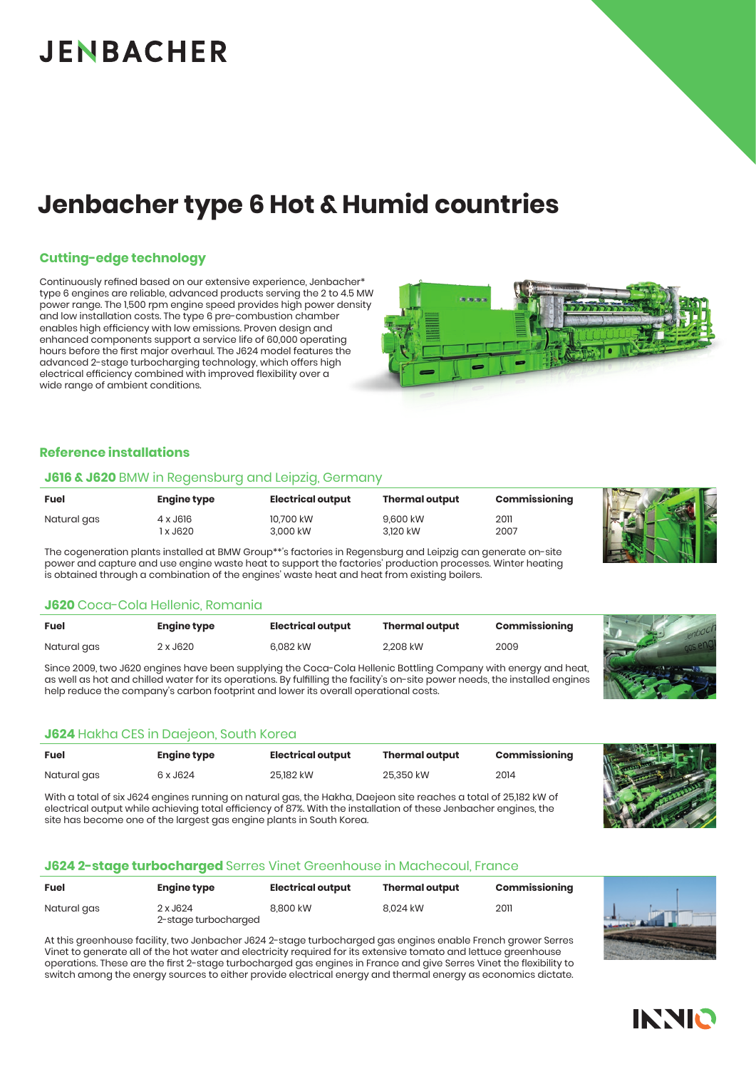# **JENBACHER**

# **Jenbacher type 6 Hot & Humid countries**

#### **Cutting-edge technology**

Continuously refined based on our extensive experience, Jenbacher\* type 6 engines are reliable, advanced products serving the 2 to 4.5 MW power range. The 1,500 rpm engine speed provides high power density and low installation costs. The type 6 pre-combustion chamber enables high efficiency with low emissions. Proven design and enhanced components support a service life of 60,000 operating hours before the first major overhaul. The J624 model features the advanced 2-stage turbocharging technology, which offers high electrical efficiency combined with improved flexibility over a wide range of ambient conditions.

### **Reference installations**

#### **J616 & J620** BMW in Regensburg and Leipzig, Germany

| <b>Fuel</b> | <b>Engine type</b> | Electrical output     | <b>Thermal output</b> | Commissioning |  |
|-------------|--------------------|-----------------------|-----------------------|---------------|--|
| Natural gas | 4 x J616<br>x J620 | 10.700 kW<br>3.000 kW | 9.600 kW<br>3.120 kW  | 2011<br>2007  |  |

The cogeneration plants installed at BMW Group\*\**'*s factories in Regensburg and Leipzig can generate on-site power and capture and use engine waste heat to support the factories' production processes. Winter heating is obtained through a combination of the engines' waste heat and heat from existing boilers.

#### **J620** Coca-Cola Hellenic, Romania

| Fuel        | <b>Engine type</b> | Electrical output | <b>Thermal output</b> | Commissioning |
|-------------|--------------------|-------------------|-----------------------|---------------|
| Natural gas | 2 x J620           | 6.082 kW          | 2.208 kW              | 2009          |

Since 2009, two J620 engines have been supplying the Coca-Cola Hellenic Bottling Company with energy and heat, as well as hot and chilled water for its operations. By fulfilling the facility's on-site power needs, the installed engines help reduce the company's carbon footprint and lower its overall operational costs.

### **J624** Hakha CES in Daejeon, South Korea

| <b>Fuel</b> | Engine type | Electrical output | <b>Thermal output</b> | Commissioning |
|-------------|-------------|-------------------|-----------------------|---------------|
| Natural gas | 6 x J624    | 25,182 kW         | 25,350 kW             | 2014          |
|             |             |                   |                       |               |

With a total of six J624 engines running on natural gas, the Hakha, Daejeon site reaches a total of 25,182 kW of electrical output while achieving total efficiency of 87%. With the installation of these Jenbacher engines, the site has become one of the largest gas engine plants in South Korea.

#### **J624 2-stage turbocharged** Serres Vinet Greenhouse in Machecoul, France

| <b>Fuel</b> | <b>Engine type</b>               | Electrical output | <b>Thermal output</b> | Commissioning |
|-------------|----------------------------------|-------------------|-----------------------|---------------|
| Natural gas | 2 x J624<br>2-stage turbocharged | 8.800 kW          | 8.024 kW              | 2011          |

At this greenhouse facility, two Jenbacher J624 2-stage turbocharged gas engines enable French grower Serres Vinet to generate all of the hot water and electricity required for its extensive tomato and lettuce greenhouse operations. These are the first 2-stage turbocharged gas engines in France and give Serres Vinet the flexibility to switch among the energy sources to either provide electrical energy and thermal energy as economics dictate.